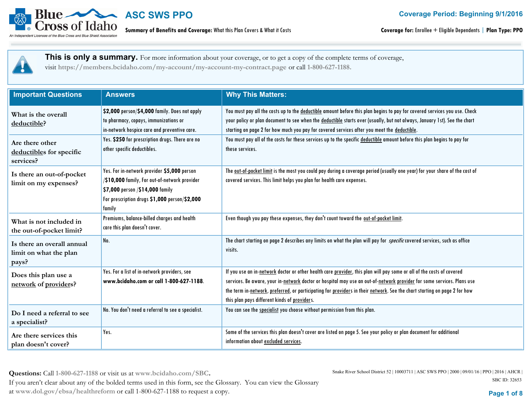

**Summary of Benefits and Coverage:** What this Plan Covers & What it Costs

**Coverage for:** Enrollee + Eligible Dependents | **Plan Type: PPO**

 **This is only a summary.** For more information about your coverage, or to get a copy of the complete terms of coverage, visit **https://members.bcidaho.com/my-account/my-account-my-contract.page** or call **1-800-627-1188.**

| <b>Important Questions</b>                                    | <b>Answers</b>                                                                                                                                                                             | <b>Why This Matters:</b>                                                                                                                                                                                                                                                                                                                                                                                                     |
|---------------------------------------------------------------|--------------------------------------------------------------------------------------------------------------------------------------------------------------------------------------------|------------------------------------------------------------------------------------------------------------------------------------------------------------------------------------------------------------------------------------------------------------------------------------------------------------------------------------------------------------------------------------------------------------------------------|
| What is the overall<br>deductible?                            | \$2,000 person/\$4,000 family. Does not apply<br>to pharmacy, copays, immunizations or<br>in-network hospice care and preventive care.                                                     | You must pay all the costs up to the deductible amount before this plan begins to pay for covered services you use. Check<br>your policy or plan document to see when the deductible starts over (usually, but not always, January 1st). See the chart<br>starting on page 2 for how much you pay for covered services after you meet the deductible.                                                                        |
| Are there other<br>deductibles for specific<br>services?      | Yes. \$250 for prescription drugs. There are no<br>other specific deductibles.                                                                                                             | You must pay all of the costs for these services up to the specific deductible amount before this plan begins to pay for<br>these services.                                                                                                                                                                                                                                                                                  |
| Is there an out-of-pocket<br>limit on my expenses?            | Yes. For in-network provider \$5,000 person<br>/\$10,000 family, For out-of-network provider<br>\$7,000 person /\$14,000 family<br>For prescription drugs \$1,000 person/\$2,000<br>family | The out-of-pocket limit is the most you could pay during a coverage period (usually one year) for your share of the cost of<br>covered services. This limit helps you plan for health care expenses.                                                                                                                                                                                                                         |
| What is not included in<br>the out-of-pocket limit?           | Premiums, balance-billed charges and health<br>care this plan doesn't cover.                                                                                                               | Even though you pay these expenses, they don't count toward the out-of-pocket limit.                                                                                                                                                                                                                                                                                                                                         |
| Is there an overall annual<br>limit on what the plan<br>pays? | No.                                                                                                                                                                                        | The chart starting on page 2 describes any limits on what the plan will pay for <i>specific</i> covered services, such as office<br>visits.                                                                                                                                                                                                                                                                                  |
| Does this plan use a<br>network of providers?                 | Yes. For a list of in-network providers, see<br>www.bcidaho.com or call 1-800-627-1188.                                                                                                    | If you use an in-network doctor or other health care provider, this plan will pay some or all of the costs of covered<br>services. Be aware, your in-network doctor or hospital may use an out-of-network provider for some services. Plans use<br>the term in-network, preferred, or participating for providers in their network. See the chart starting on page 2 for how<br>this plan pays different kinds of providers. |
| Do I need a referral to see<br>a specialist?                  | No. You don't need a referral to see a specialist.                                                                                                                                         | You can see the specialist you choose without permission from this plan.                                                                                                                                                                                                                                                                                                                                                     |
| Are there services this<br>plan doesn't cover?                | Yes.                                                                                                                                                                                       | Some of the services this plan doesn't cover are listed on page 5. See your policy or plan document for additional<br>information about excluded services.                                                                                                                                                                                                                                                                   |

**Questions:** Call **1-800-627-1188** or visit us at **www.bcidaho.com/SBC.** If you aren't clear about any of the bolded terms used in this form, see the Glossary. You can view the Glossary at **www.dol.gov/ebsa/healthreform** or call 1-800-627-1188 to request a copy. **Page 1 of 8**

Snake River School District 52 | 10003711 | ASC SWS PPO | 2000 | 09/01/16 | PPO | 2016 | AHCR | SBC ID: 32653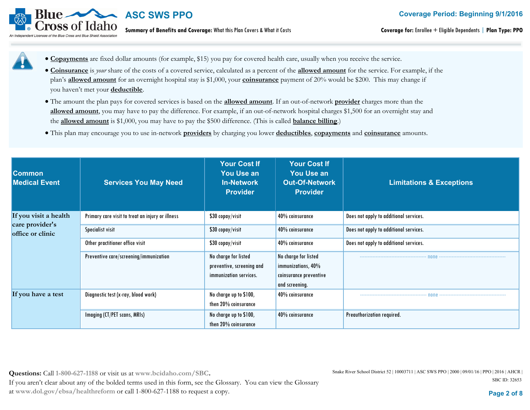**Coverage Period: Beginning 9/1/2016**



### **ASC SWS PPO**

**Summary of Benefits and Coverage:** What this Plan Covers & What it Costs

- · **Copayments** are fixed dollar amounts (for example, \$15) you pay for covered health care, usually when you receive the service.
	- · **Coinsurance** is *your* share of the costs of a covered service, calculated as a percent of the **allowed amount** for the service. For example, if the plan's **allowed amount** for an overnight hospital stay is \$1,000, your **coinsurance** payment of 20% would be \$200. This may change if you haven't met your **deductible**.
	- · The amount the plan pays for covered services is based on the **allowed amount**. If an out-of-network **provider** charges more than the **allowed amount**, you may have to pay the difference. For example, if an out-of-network hospital charges \$1,500 for an overnight stay and the **allowed amount** is \$1,000, you may have to pay the \$500 difference. (This is called **balance billing**.)
	- · This plan may encourage you to use in-network **providers** by charging you lower **deductibles**, **copayments** and **coinsurance** amounts.

| <b>Common</b><br><b>Medical Event</b> | <b>Services You May Need</b>                     | <b>Your Cost If</b><br><b>You Use an</b><br><b>In-Network</b><br><b>Provider</b> | <b>Your Cost If</b><br><b>You Use an</b><br><b>Out-Of-Network</b><br><b>Provider</b>   | <b>Limitations &amp; Exceptions</b>    |
|---------------------------------------|--------------------------------------------------|----------------------------------------------------------------------------------|----------------------------------------------------------------------------------------|----------------------------------------|
| If you visit a health                 | Primary care visit to treat an injury or illness | \$30 copay/visit                                                                 | 40% coinsurance                                                                        | Does not apply to additional services. |
| care provider's<br>office or clinic   | Specialist visit                                 | \$30 copay/visit                                                                 | 40% coinsurance                                                                        | Does not apply to additional services. |
|                                       | Other practitioner office visit                  | \$30 copay/visit                                                                 | 40% coinsurance                                                                        | Does not apply to additional services. |
|                                       | Preventive care/screening/immunization           | No charge for listed<br>preventive, screening and<br>immunization services.      | No charge for listed<br>immunizations, 40%<br>coinsurance preventive<br>and screening. |                                        |
| If you have a test                    | Diagnostic test (x-ray, blood work)              | No charge up to \$100,<br>then 20% coinsurance                                   | $40\%$ coinsurance                                                                     |                                        |
|                                       | Imaging (CT/PET scans, MRIs)                     | No charge up to \$100,<br>then 20% coinsurance                                   | 40% coinsurance                                                                        | Preauthorization required.             |

**Questions:** Call **1-800-627-1188** or visit us at **www.bcidaho.com/SBC.** If you aren't clear about any of the bolded terms used in this form, see the Glossary. You can view the Glossary at **www.dol.gov/ebsa/healthreform** or call 1-800-627-1188 to request a copy. **Page 2 of 8**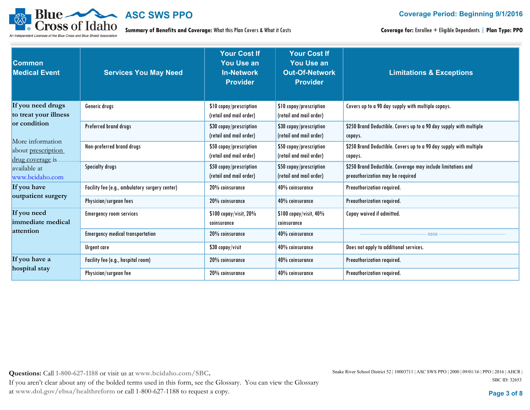

**Summary of Benefits and Coverage:** What this Plan Covers & What it Costs

**Coverage for:** Enrollee + Eligible Dependents | **Plan Type: PPO**

| <b>Common</b><br><b>Medical Event</b>                             | <b>Services You May Need</b>                   | <b>Your Cost If</b><br><b>You Use an</b><br><b>In-Network</b><br><b>Provider</b> | <b>Your Cost If</b><br><b>You Use an</b><br><b>Out-Of-Network</b><br><b>Provider</b> | <b>Limitations &amp; Exceptions</b>                                                              |
|-------------------------------------------------------------------|------------------------------------------------|----------------------------------------------------------------------------------|--------------------------------------------------------------------------------------|--------------------------------------------------------------------------------------------------|
| If you need drugs<br>to treat your illness                        | Generic drugs                                  | \$10 copay/prescription<br>(retail and mail order)                               | \$10 copay/prescription<br>(retail and mail order)                                   | Covers up to a 90 day supply with multiple copays.                                               |
| or condition                                                      | Preferred brand drugs                          | \$30 copay/prescription<br>(retail and mail order)                               | \$30 copay/prescription<br>(retail and mail order)                                   | \$250 Brand Deductible. Covers up to a 90 day supply with multiple<br>copays.                    |
| More information<br>about <u>prescription</u><br>drug coverage is | Non-preferred brand drugs                      | \$50 copay/prescription<br>(retail and mail order)                               | \$50 copay/prescription<br>(retail and mail order)                                   | \$250 Brand Deductible. Covers up to a 90 day supply with multiple<br>copays.                    |
| available at<br>www.bcidaho.com                                   | <b>Specialty drugs</b>                         | \$50 copay/prescription<br>(retail and mail order)                               | \$50 copay/prescription<br>(retail and mail order)                                   | \$250 Brand Deductible. Coverage may include limitations and<br>preauthorization may be required |
| If you have<br>outpatient surgery                                 | Facility fee (e.g., ambulatory surgery center) | 20% coinsurance                                                                  | 40% coinsurance                                                                      | Preauthorization required.                                                                       |
|                                                                   | Physician/surgeon fees                         | 20% coinsurance                                                                  | 40% coinsurance                                                                      | Preauthorization required.                                                                       |
| If you need<br>immediate medical                                  | <b>Emergency room services</b>                 | \$100 copay/visit, 20%<br>coinsurance                                            | \$100 copay/visit, 40%<br>coinsurance                                                | Copay waived if admitted.                                                                        |
| attention                                                         | <b>Emergency medical transportation</b>        | 20% coinsurance                                                                  | 40% coinsurance                                                                      |                                                                                                  |
|                                                                   | Urgent care                                    | \$30 copay/visit                                                                 | 40% coinsurance                                                                      | Does not apply to additional services.                                                           |
| If you have a                                                     | Facility fee (e.g., hospital room)             | 20% coinsurance                                                                  | 40% coinsurance                                                                      | Preauthorization required.                                                                       |
| hospital stay                                                     | Physician/surgeon fee                          | 20% coinsurance                                                                  | 40% coinsurance                                                                      | Preauthorization required.                                                                       |

**Questions:** Call **1-800-627-1188** or visit us at **www.bcidaho.com/SBC.**

If you aren't clear about any of the bolded terms used in this form, see the Glossary. You can view the Glossary at **www.dol.gov/ebsa/healthreform** or call 1-800-627-1188 to request a copy. **Page 3 of 8**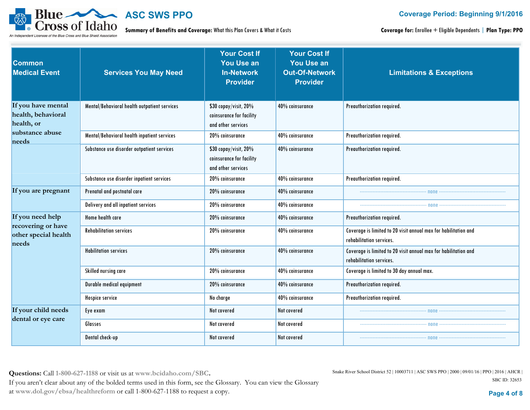

**Summary of Benefits and Coverage:** What this Plan Covers & What it Costs

**Coverage for:** Enrollee + Eligible Dependents | **Plan Type: PPO**

| Common<br><b>Medical Event</b>                         | <b>Services You May Need</b>                 | <b>Your Cost If</b><br><b>You Use an</b><br><b>In-Network</b><br><b>Provider</b> | <b>Your Cost If</b><br><b>You Use an</b><br><b>Out-Of-Network</b><br><b>Provider</b> | <b>Limitations &amp; Exceptions</b>                                                                                                                                                                                              |
|--------------------------------------------------------|----------------------------------------------|----------------------------------------------------------------------------------|--------------------------------------------------------------------------------------|----------------------------------------------------------------------------------------------------------------------------------------------------------------------------------------------------------------------------------|
| If you have mental<br>health, behavioral<br>health, or | Mental/Behavioral health outpatient services | \$30 copay/visit, 20%<br>coinsurance for facility<br>and other services          | 40% coinsurance                                                                      | Preauthorization required.                                                                                                                                                                                                       |
| substance abuse<br>needs                               | Mental/Behavioral health inpatient services  | 20% coinsurance                                                                  | 40% coinsurance                                                                      | Preauthorization required.                                                                                                                                                                                                       |
|                                                        | Substance use disorder outpatient services   | \$30 copay/visit, 20%<br>coinsurance for facility<br>and other services          | 40% coinsurance                                                                      | Preauthorization required.                                                                                                                                                                                                       |
|                                                        | Substance use disorder inpatient services    | 20% coinsurance                                                                  | 40% coinsurance                                                                      | Preauthorization required.                                                                                                                                                                                                       |
| If you are pregnant                                    | Prenatal and postnatal care                  | 20% coinsurance                                                                  | 40% coinsurance                                                                      | $-$ none $\cdot$                                                                                                                                                                                                                 |
|                                                        | Delivery and all inpatient services          | 20% coinsurance                                                                  | 40% coinsurance                                                                      |                                                                                                                                                                                                                                  |
| If you need help                                       | Home health care                             | 20% coinsurance                                                                  | 40% coinsurance                                                                      | Preauthorization required.                                                                                                                                                                                                       |
| recovering or have<br>other special health<br>needs    | <b>Rehabilitation services</b>               | 20% coinsurance                                                                  | 40% coinsurance                                                                      | Coverage is limited to 20 visit annual max for habilitation and<br>rehabilitation services.                                                                                                                                      |
|                                                        | <b>Habilitation services</b>                 | 20% coinsurance                                                                  | 40% coinsurance                                                                      | Coverage is limited to 20 visit annual max for habilitation and<br>rehabilitation services.                                                                                                                                      |
|                                                        | Skilled nursing care                         | 20% coinsurance                                                                  | 40% coinsurance                                                                      | Coverage is limited to 30 day annual max.                                                                                                                                                                                        |
|                                                        | Durable medical equipment                    | 20% coinsurance                                                                  | 40% coinsurance                                                                      | Preauthorization required.                                                                                                                                                                                                       |
|                                                        | Hospice service                              | No charge                                                                        | 40% coinsurance                                                                      | Preauthorization required.                                                                                                                                                                                                       |
| If your child needs                                    | Eye exam                                     | Not covered                                                                      | Not covered                                                                          | . поправление последников и на собствении по не полне с полне с собствения на собствения на полне с полне с не<br>В собствении полне с полне с полне с полне с полне с полне с полне с полне с полне с полне с полне с полне с п |
| dental or eye care                                     | Glasses                                      | Not covered                                                                      | Not covered                                                                          |                                                                                                                                                                                                                                  |
|                                                        | Dental check-up                              | Not covered                                                                      | Not covered                                                                          | $-$ none $-$                                                                                                                                                                                                                     |

**Questions:** Call **1-800-627-1188** or visit us at **www.bcidaho.com/SBC.** If you aren't clear about any of the bolded terms used in this form, see the Glossary. You can view the Glossary at **www.dol.gov/ebsa/healthreform** or call 1-800-627-1188 to request a copy. **Page 4 of 8**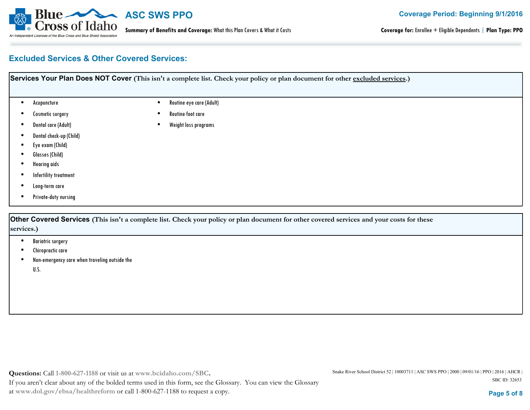

**Coverage for:** Enrollee + Eligible Dependents | **Plan Type: PPO**

#### **Excluded Services & Other Covered Services:**

| Services Your Plan Does NOT Cover (This isn't a complete list. Check your policy or plan document for other excluded services.) |  |                          |  |
|---------------------------------------------------------------------------------------------------------------------------------|--|--------------------------|--|
| Acupuncture                                                                                                                     |  | Routine eye care (Adult) |  |
| Cosmetic surgery                                                                                                                |  | Routine foot care        |  |
| Dental care (Adult)                                                                                                             |  | Weight loss programs     |  |
| Dental check-up (Child)                                                                                                         |  |                          |  |
| Eye exam (Child)                                                                                                                |  |                          |  |
| Glasses (Child)                                                                                                                 |  |                          |  |
| <b>Hearing aids</b>                                                                                                             |  |                          |  |
| Infertility treatment                                                                                                           |  |                          |  |
| Long-term care                                                                                                                  |  |                          |  |
| Private-duty nursing                                                                                                            |  |                          |  |

**Other Covered Services (This isn't a complete list. Check your policy or plan document for other covered services and your costs for these services.)**

- Bariatric surgery
- Chiropractic care
- Non-emergency care when traveling outside the •

U.S.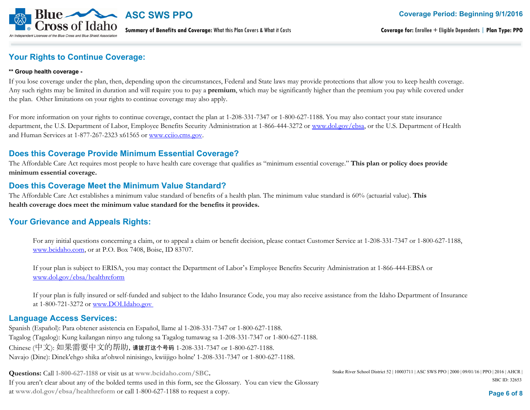

**Summary of Benefits and Coverage:** What this Plan Covers & What it Costs

**Coverage for:** Enrollee + Eligible Dependents | **Plan Type: PPO**

#### **Your Rights to Continue Coverage:**

#### **\*\* Group health coverage -**

If you lose coverage under the plan, then, depending upon the circumstances, Federal and State laws may provide protections that allow you to keep health coverage. Any such rights may be limited in duration and will require you to pay a **premium**, which may be significantly higher than the premium you pay while covered under the plan. Other limitations on your rights to continue coverage may also apply.

For more information on your rights to continue coverage, contact the plan at 1-208-331-7347 or 1-800-627-1188. You may also contact your state insurance department, the U.S. Department of Labor, Employee Benefits Security Administration at 1-866-444-3272 or www.dol.gov/ebsa, or the U.S. Department of Health and Human Services at 1-877-267-2323 x61565 or www.cciio.cms.gov.

#### **Does this Coverage Provide Minimum Essential Coverage?**

The Affordable Care Act requires most people to have health care coverage that qualifies as "minimum essential coverage." **This plan or policy does provide minimum essential coverage.**

#### **Does this Coverage Meet the Minimum Value Standard?**

The Affordable Care Act establishes a minimum value standard of benefits of a health plan. The minimum value standard is 60% (actuarial value). **This health coverage does meet the minimum value standard for the benefits it provides.**

#### **Your Grievance and Appeals Rights:**

For any initial questions concerning a claim, or to appeal a claim or benefit decision, please contact Customer Service at 1-208-331-7347 or 1-800-627-1188, www.bcidaho.com, or at P.O. Box 7408, Boise, ID 83707.

If your plan is subject to ERISA, you may contact the Department of Labor's Employee Benefits Security Administration at 1-866-444-EBSA or www.dol.gov/ebsa/healthreform

If your plan is fully insured or self-funded and subject to the Idaho Insurance Code, you may also receive assistance from the Idaho Department of Insurance at 1-800-721-3272 or www.DOI.Idaho.gov

#### **Language Access Services:**

Spanish (Español): Para obtener asistencia en Español, llame al 1-208-331-7347 or 1-800-627-1188. Tagalog (Tagalog): Kung kailangan ninyo ang tulong sa Tagalog tumawag sa 1-208-331-7347 or 1-800-627-1188. Chinese (中文): 如果需要中文的帮助,请拨打这个号码 1-208-331-7347 or 1-800-627-1188. Navajo (Dine): Dinek'ehgo shika at'ohwol ninisingo, kwiijigo holne' 1-208-331-7347 or 1-800-627-1188.

**Questions:** Call **1-800-627-1188** or visit us at **www.bcidaho.com/SBC.** If you aren't clear about any of the bolded terms used in this form, see the Glossary. You can view the Glossary at **www.dol.gov/ebsa/healthreform** or call 1-800-627-1188 to request a copy. **Page 6 of 8**

Snake River School District 52 | 10003711 | ASC SWS PPO | 2000 | 09/01/16 | PPO | 2016 | AHCR | SBC ID: 32653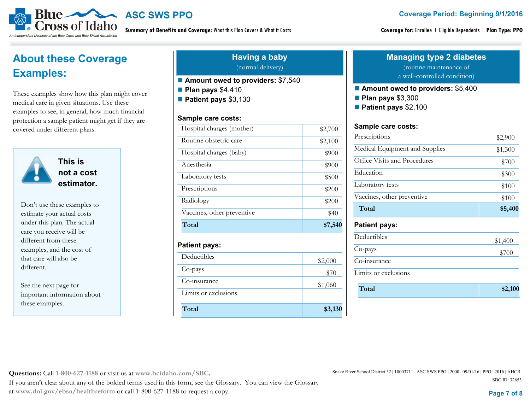**Coverage Period: Beginning 9/1/2016**



**Summary of Benefits and Coverage:** What this Plan Covers & What it Costs

**Coverage for:** Enrollee + Eligible Dependents | **Plan Type: PPO**

## **About these Coverage Examples:**

These examples show how this plan might cover medical care in given situations. Use these examples to see, in general, how much financial protection a sample patient might get if they are covered under different plans.



**This is not a cost estimator.** 

Don't use these examples to estimate your actual costs under this plan. The actual care you receive will be different from these examples, and the cost of that care will also be different.

See the next page for important information about these examples.

#### **Having a baby** (normal delivery)

**A Amount owed to providers:** \$7,540

**Plan pays** \$4,410

**Patient pays** \$3,130

#### **Sample care costs:**

Limits or exclusions

**Total**

| Hospital charges (mother)  | \$2,700 |
|----------------------------|---------|
| Routine obstetric care     | \$2,100 |
| Hospital charges (baby)    | \$900   |
| Anesthesia                 | \$900   |
| Laboratory tests           | \$500   |
| Prescriptions              | \$200   |
| Radiology                  | \$200   |
| Vaccines, other preventive | \$40    |
| Total                      | \$7,540 |
| <b>Patient pays:</b>       |         |
| Deductibles                | \$2,000 |
| Co-pays                    | \$70    |
| Co-insurance               | \$1,060 |

#### **Managing type 2 diabetes** (routine maintenance of

#### ■ Amount owed to providers: \$5,400

**Plan pays** \$3,300

**Patient pays** \$2,100

#### Sample care costs:

| Prescriptions                  | \$2,900 |
|--------------------------------|---------|
| Medical Equipment and Supplies | \$1,300 |
| Office Visits and Procedures   | \$700   |
| Education                      | \$300   |
| Laboratory tests               | \$100   |
| Vaccines, other preventive     | \$100   |
| Total                          | \$5,400 |

#### **Patient pays:**

**\$3,130** 

| Deductibles          | \$1,400 |
|----------------------|---------|
| Co-pays              | \$700   |
| Co-insurance         |         |
| Limits or exclusions |         |
| Total                | \$2,100 |

**Questions:** Call **1-800-627-1188** or visit us at **www.bcidaho.com/SBC.**

If you aren't clear about any of the bolded terms used in this form, see the Glossary. You can view the Glossary at **www.dol.gov/ebsa/healthreform** or call 1-800-627-1188 to request a copy. **Page 7 of 8**